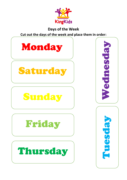

## **Days of the Week Cut out the days of the week and place them in order:**

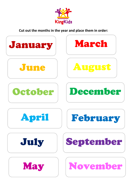

**Cut out the months in the year and place them in order:**

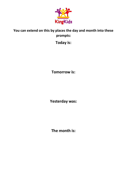

## **You can extend on this by places the day and month into these prompts:**

**Today is:**

**Tomorrow is:**

**Yesterday was:**

**The month is:**